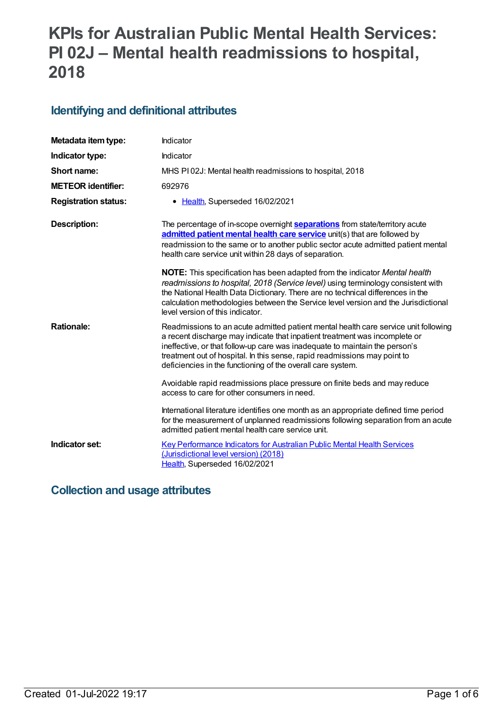# **KPIs for Australian Public Mental Health Services: PI 02J – Mental health readmissions to hospital, 2018**

## **Identifying and definitional attributes**

| Metadata item type:         | Indicator                                                                                                                                                                                                                                                                                                                                                                                    |
|-----------------------------|----------------------------------------------------------------------------------------------------------------------------------------------------------------------------------------------------------------------------------------------------------------------------------------------------------------------------------------------------------------------------------------------|
| Indicator type:             | Indicator                                                                                                                                                                                                                                                                                                                                                                                    |
| Short name:                 | MHS PI02J: Mental health readmissions to hospital, 2018                                                                                                                                                                                                                                                                                                                                      |
| <b>METEOR identifier:</b>   | 692976                                                                                                                                                                                                                                                                                                                                                                                       |
| <b>Registration status:</b> | • Health, Superseded 16/02/2021                                                                                                                                                                                                                                                                                                                                                              |
| <b>Description:</b>         | The percentage of in-scope overnight <b>separations</b> from state/territory acute<br>admitted patient mental health care service unit(s) that are followed by<br>readmission to the same or to another public sector acute admitted patient mental<br>health care service unit within 28 days of separation.                                                                                |
|                             | <b>NOTE:</b> This specification has been adapted from the indicator Mental health<br>readmissions to hospital, 2018 (Service level) using terminology consistent with<br>the National Health Data Dictionary. There are no technical differences in the<br>calculation methodologies between the Service level version and the Jurisdictional<br>level version of this indicator.            |
| <b>Rationale:</b>           | Readmissions to an acute admitted patient mental health care service unit following<br>a recent discharge may indicate that inpatient treatment was incomplete or<br>ineffective, or that follow-up care was inadequate to maintain the person's<br>treatment out of hospital. In this sense, rapid readmissions may point to<br>deficiencies in the functioning of the overall care system. |
|                             | Avoidable rapid readmissions place pressure on finite beds and may reduce<br>access to care for other consumers in need.                                                                                                                                                                                                                                                                     |
|                             | International literature identifies one month as an appropriate defined time period<br>for the measurement of unplanned readmissions following separation from an acute<br>admitted patient mental health care service unit.                                                                                                                                                                 |
| Indicator set:              | <b>Key Performance Indicators for Australian Public Mental Health Services</b><br>(Jurisdictional level version) (2018)<br>Health, Superseded 16/02/2021                                                                                                                                                                                                                                     |

## **Collection and usage attributes**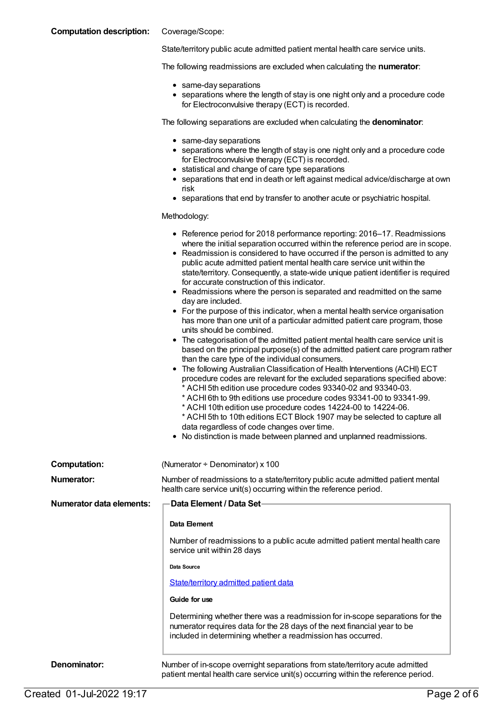#### **Computation description:** Coverage/Scope:

State/territory public acute admitted patient mental health care service units.

The following readmissions are excluded when calculating the **numerator**:

- same-day separations
- separations where the length of stay is one night only and a procedure code for Electroconvulsive therapy (ECT) is recorded.

The following separations are excluded when calculating the **denominator**:

- same-day separations
- separations where the length of stay is one night only and a procedure code for Electroconvulsive therapy (ECT) is recorded.
- statistical and change of care type separations
- separations that end in death or left against medical advice/discharge at own risk
- separations that end by transfer to another acute or psychiatric hospital.

Methodology:

|                                 | • Reference period for 2018 performance reporting: 2016-17. Readmissions<br>where the initial separation occurred within the reference period are in scope.<br>• Readmission is considered to have occurred if the person is admitted to any<br>public acute admitted patient mental health care service unit within the<br>state/territory. Consequently, a state-wide unique patient identifier is required<br>for accurate construction of this indicator.<br>• Readmissions where the person is separated and readmitted on the same<br>day are included.<br>• For the purpose of this indicator, when a mental health service organisation<br>has more than one unit of a particular admitted patient care program, those<br>units should be combined.<br>• The categorisation of the admitted patient mental health care service unit is<br>based on the principal purpose(s) of the admitted patient care program rather<br>than the care type of the individual consumers.<br>• The following Australian Classification of Health Interventions (ACHI) ECT<br>procedure codes are relevant for the excluded separations specified above:<br>* ACHI 5th edition use procedure codes 93340-02 and 93340-03.<br>* ACHI 6th to 9th editions use procedure codes 93341-00 to 93341-99.<br>* ACHI 10th edition use procedure codes 14224-00 to 14224-06.<br>* ACHI 5th to 10th editions ECT Block 1907 may be selected to capture all<br>data regardless of code changes over time.<br>• No distinction is made between planned and unplanned readmissions. |  |
|---------------------------------|---------------------------------------------------------------------------------------------------------------------------------------------------------------------------------------------------------------------------------------------------------------------------------------------------------------------------------------------------------------------------------------------------------------------------------------------------------------------------------------------------------------------------------------------------------------------------------------------------------------------------------------------------------------------------------------------------------------------------------------------------------------------------------------------------------------------------------------------------------------------------------------------------------------------------------------------------------------------------------------------------------------------------------------------------------------------------------------------------------------------------------------------------------------------------------------------------------------------------------------------------------------------------------------------------------------------------------------------------------------------------------------------------------------------------------------------------------------------------------------------------------------------------------------------------------------|--|
| <b>Computation:</b>             | (Numerator $\div$ Denominator) x 100                                                                                                                                                                                                                                                                                                                                                                                                                                                                                                                                                                                                                                                                                                                                                                                                                                                                                                                                                                                                                                                                                                                                                                                                                                                                                                                                                                                                                                                                                                                          |  |
| Numerator:                      | Number of readmissions to a state/territory public acute admitted patient mental<br>health care service unit(s) occurring within the reference period.                                                                                                                                                                                                                                                                                                                                                                                                                                                                                                                                                                                                                                                                                                                                                                                                                                                                                                                                                                                                                                                                                                                                                                                                                                                                                                                                                                                                        |  |
| <b>Numerator data elements:</b> | Data Element / Data Set-                                                                                                                                                                                                                                                                                                                                                                                                                                                                                                                                                                                                                                                                                                                                                                                                                                                                                                                                                                                                                                                                                                                                                                                                                                                                                                                                                                                                                                                                                                                                      |  |
|                                 | Data Element                                                                                                                                                                                                                                                                                                                                                                                                                                                                                                                                                                                                                                                                                                                                                                                                                                                                                                                                                                                                                                                                                                                                                                                                                                                                                                                                                                                                                                                                                                                                                  |  |
|                                 | Number of readmissions to a public acute admitted patient mental health care<br>service unit within 28 days                                                                                                                                                                                                                                                                                                                                                                                                                                                                                                                                                                                                                                                                                                                                                                                                                                                                                                                                                                                                                                                                                                                                                                                                                                                                                                                                                                                                                                                   |  |
|                                 | Data Source                                                                                                                                                                                                                                                                                                                                                                                                                                                                                                                                                                                                                                                                                                                                                                                                                                                                                                                                                                                                                                                                                                                                                                                                                                                                                                                                                                                                                                                                                                                                                   |  |
|                                 | State/territory admitted patient data                                                                                                                                                                                                                                                                                                                                                                                                                                                                                                                                                                                                                                                                                                                                                                                                                                                                                                                                                                                                                                                                                                                                                                                                                                                                                                                                                                                                                                                                                                                         |  |
|                                 | Guide for use                                                                                                                                                                                                                                                                                                                                                                                                                                                                                                                                                                                                                                                                                                                                                                                                                                                                                                                                                                                                                                                                                                                                                                                                                                                                                                                                                                                                                                                                                                                                                 |  |
|                                 | Determining whether there was a readmission for in-scope separations for the<br>numerator requires data for the 28 days of the next financial year to be<br>included in determining whether a readmission has occurred.                                                                                                                                                                                                                                                                                                                                                                                                                                                                                                                                                                                                                                                                                                                                                                                                                                                                                                                                                                                                                                                                                                                                                                                                                                                                                                                                       |  |
| Denominator:                    | Number of in-scope overnight separations from state/territory acute admitted<br>patient mental health care service unit(s) occurring within the reference period.                                                                                                                                                                                                                                                                                                                                                                                                                                                                                                                                                                                                                                                                                                                                                                                                                                                                                                                                                                                                                                                                                                                                                                                                                                                                                                                                                                                             |  |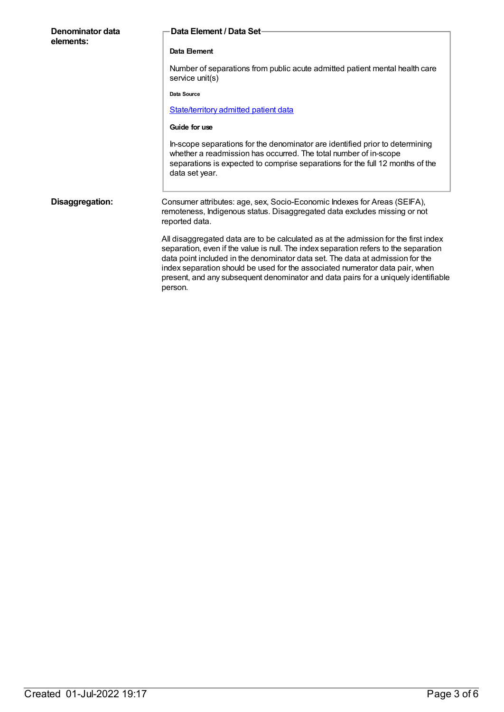| Denominator data<br>elements: | Data Element / Data Set-                                                                                                                                                                                                                                                                                                                                                                                                                       |
|-------------------------------|------------------------------------------------------------------------------------------------------------------------------------------------------------------------------------------------------------------------------------------------------------------------------------------------------------------------------------------------------------------------------------------------------------------------------------------------|
|                               | Data Element                                                                                                                                                                                                                                                                                                                                                                                                                                   |
|                               | Number of separations from public acute admitted patient mental health care<br>service unit(s)                                                                                                                                                                                                                                                                                                                                                 |
|                               | Data Source                                                                                                                                                                                                                                                                                                                                                                                                                                    |
|                               | State/territory admitted patient data                                                                                                                                                                                                                                                                                                                                                                                                          |
|                               | Guide for use                                                                                                                                                                                                                                                                                                                                                                                                                                  |
|                               | In-scope separations for the denominator are identified prior to determining<br>whether a readmission has occurred. The total number of in-scope<br>separations is expected to comprise separations for the full 12 months of the<br>data set year.                                                                                                                                                                                            |
| Disaggregation:               | Consumer attributes: age, sex, Socio-Economic Indexes for Areas (SEIFA),<br>remoteness, Indigenous status. Disaggregated data excludes missing or not<br>reported data.                                                                                                                                                                                                                                                                        |
|                               | All disaggregated data are to be calculated as at the admission for the first index<br>separation, even if the value is null. The index separation refers to the separation<br>data point included in the denominator data set. The data at admission for the<br>index separation should be used for the associated numerator data pair, when<br>present, and any subsequent denominator and data pairs for a uniquely identifiable<br>person. |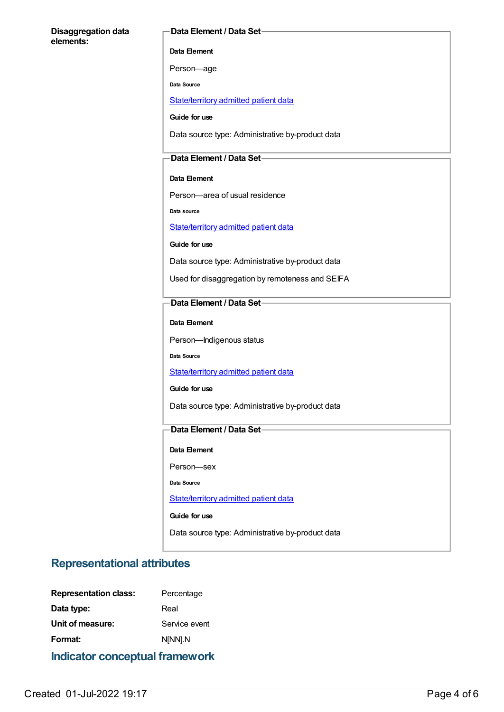#### **Disaggregation data elements:**

#### **Data Element / Data Set**

**Data Element**

Person—age

**Data Source**

[State/territory](file:///content/426458) admitted patient data

**Guide for use**

Data source type: Administrative by-product data

#### **Data Element / Data Set**

#### **Data Element**

Person—area of usual residence

**Data source**

[State/territory](file:///content/426458) admitted patient data

**Guide for use**

Data source type: Administrative by-product data

Used for disaggregation by remoteness and SEIFA

#### **Data Element / Data Set**

**Data Element**

Person—Indigenous status

**Data Source**

[State/territory](file:///content/426458) admitted patient data

**Guide for use**

Data source type: Administrative by-product data

#### **Data Element / Data Set**

**Data Element**

Person—sex

**Data Source**

[State/territory](file:///content/426458) admitted patient data

**Guide for use**

Data source type: Administrative by-product data

### **Representational attributes**

| <b>Indicator conceptual framework</b> |               |  |
|---------------------------------------|---------------|--|
| Format:                               | N[NN].N       |  |
| Unit of measure:                      | Service event |  |
| Data type:                            | Real          |  |
| <b>Representation class:</b>          | Percentage    |  |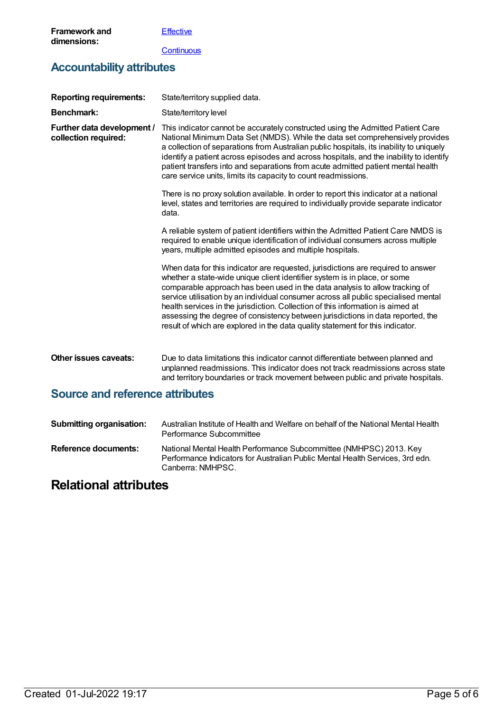**[Effective](https://meteor.aihw.gov.au/content/584872)** 

**[Continuous](https://meteor.aihw.gov.au/content/584864)** 

## **Accountability attributes**

| <b>Reporting requirements:</b>                     | State/territory supplied data.                                                                                                                                                                                                                                                                                                                                                                                                                                                                                                                                                             |
|----------------------------------------------------|--------------------------------------------------------------------------------------------------------------------------------------------------------------------------------------------------------------------------------------------------------------------------------------------------------------------------------------------------------------------------------------------------------------------------------------------------------------------------------------------------------------------------------------------------------------------------------------------|
| <b>Benchmark:</b>                                  | State/territory level                                                                                                                                                                                                                                                                                                                                                                                                                                                                                                                                                                      |
| Further data development /<br>collection required: | This indicator cannot be accurately constructed using the Admitted Patient Care<br>National Minimum Data Set (NMDS). While the data set comprehensively provides<br>a collection of separations from Australian public hospitals, its inability to uniquely<br>identify a patient across episodes and across hospitals, and the inability to identify<br>patient transfers into and separations from acute admitted patient mental health<br>care service units, limits its capacity to count readmissions.                                                                                |
|                                                    | There is no proxy solution available. In order to report this indicator at a national<br>level, states and territories are required to individually provide separate indicator<br>data.                                                                                                                                                                                                                                                                                                                                                                                                    |
|                                                    | A reliable system of patient identifiers within the Admitted Patient Care NMDS is<br>required to enable unique identification of individual consumers across multiple<br>years, multiple admitted episodes and multiple hospitals.                                                                                                                                                                                                                                                                                                                                                         |
|                                                    | When data for this indicator are requested, jurisdictions are required to answer<br>whether a state-wide unique client identifier system is in place, or some<br>comparable approach has been used in the data analysis to allow tracking of<br>service utilisation by an individual consumer across all public specialised mental<br>health services in the jurisdiction. Collection of this information is aimed at<br>assessing the degree of consistency between jurisdictions in data reported, the<br>result of which are explored in the data quality statement for this indicator. |
| Other issues caveats:                              | Due to data limitations this indicator cannot differentiate between planned and<br>unplanned readmissions. This indicator does not track readmissions across state<br>and territory boundaries or track movement between public and private hospitals.                                                                                                                                                                                                                                                                                                                                     |
| <b>Source and reference attributes</b>             |                                                                                                                                                                                                                                                                                                                                                                                                                                                                                                                                                                                            |

| <b>Submitting organisation:</b> | Australian Institute of Health and Welfare on behalf of the National Mental Health<br>Performance Subcommittee                                                           |
|---------------------------------|--------------------------------------------------------------------------------------------------------------------------------------------------------------------------|
| Reference documents:            | National Mental Health Performance Subcommittee (NMHPSC) 2013. Key<br>Performance Indicators for Australian Public Mental Health Services, 3rd edn.<br>Canberra: NMHPSC. |

## **Relational attributes**